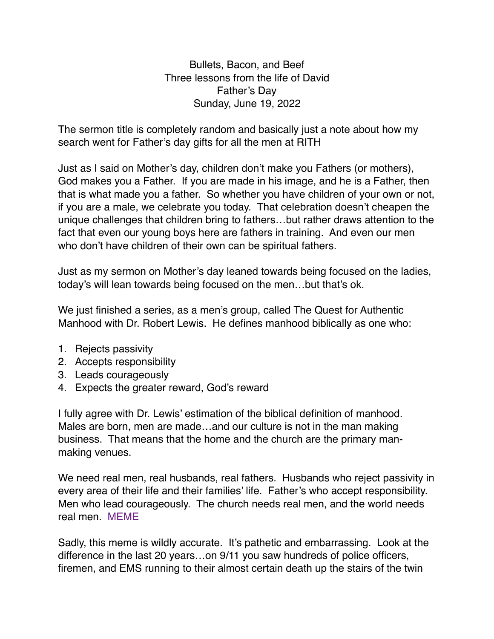Bullets, Bacon, and Beef Three lessons from the life of David Father's Day Sunday, June 19, 2022

The sermon title is completely random and basically just a note about how my search went for Father's day gifts for all the men at RITH

Just as I said on Mother's day, children don't make you Fathers (or mothers), God makes you a Father. If you are made in his image, and he is a Father, then that is what made you a father. So whether you have children of your own or not, if you are a male, we celebrate you today. That celebration doesn't cheapen the unique challenges that children bring to fathers…but rather draws attention to the fact that even our young boys here are fathers in training. And even our men who don't have children of their own can be spiritual fathers.

Just as my sermon on Mother's day leaned towards being focused on the ladies, today's will lean towards being focused on the men…but that's ok.

We just finished a series, as a men's group, called The Quest for Authentic Manhood with Dr. Robert Lewis. He defines manhood biblically as one who:

- 1. Rejects passivity
- 2. Accepts responsibility
- 3. Leads courageously
- 4. Expects the greater reward, God's reward

I fully agree with Dr. Lewis' estimation of the biblical definition of manhood. Males are born, men are made…and our culture is not in the man making business. That means that the home and the church are the primary manmaking venues.

We need real men, real husbands, real fathers. Husbands who reject passivity in every area of their life and their families' life. Father's who accept responsibility. Men who lead courageously. The church needs real men, and the world needs real men. MEME

Sadly, this meme is wildly accurate. It's pathetic and embarrassing. Look at the difference in the last 20 years…on 9/11 you saw hundreds of police officers, firemen, and EMS running to their almost certain death up the stairs of the twin